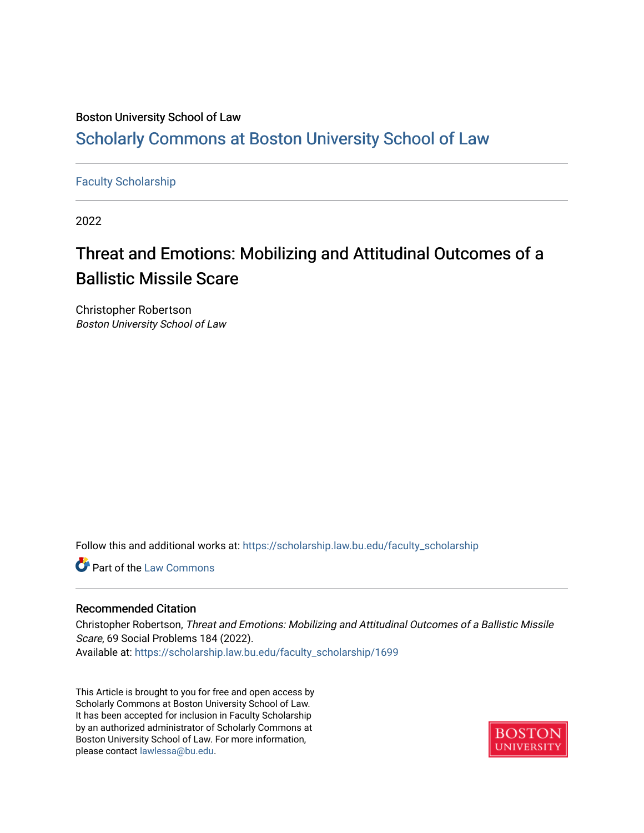### Boston University School of Law [Scholarly Commons at Boston University School of Law](https://scholarship.law.bu.edu/)

#### [Faculty Scholarship](https://scholarship.law.bu.edu/faculty_scholarship)

2022

## Threat and Emotions: Mobilizing and Attitudinal Outcomes of a Ballistic Missile Scare

Christopher Robertson Boston University School of Law

Follow this and additional works at: [https://scholarship.law.bu.edu/faculty\\_scholarship](https://scholarship.law.bu.edu/faculty_scholarship?utm_source=scholarship.law.bu.edu%2Ffaculty_scholarship%2F1699&utm_medium=PDF&utm_campaign=PDFCoverPages)

**C** Part of the [Law Commons](http://network.bepress.com/hgg/discipline/578?utm_source=scholarship.law.bu.edu%2Ffaculty_scholarship%2F1699&utm_medium=PDF&utm_campaign=PDFCoverPages)

#### Recommended Citation

Christopher Robertson, Threat and Emotions: Mobilizing and Attitudinal Outcomes of a Ballistic Missile Scare, 69 Social Problems 184 (2022). Available at: [https://scholarship.law.bu.edu/faculty\\_scholarship/1699](https://scholarship.law.bu.edu/faculty_scholarship/1699?utm_source=scholarship.law.bu.edu%2Ffaculty_scholarship%2F1699&utm_medium=PDF&utm_campaign=PDFCoverPages)

This Article is brought to you for free and open access by Scholarly Commons at Boston University School of Law. It has been accepted for inclusion in Faculty Scholarship by an authorized administrator of Scholarly Commons at Boston University School of Law. For more information, please contact [lawlessa@bu.edu](mailto:lawlessa@bu.edu).

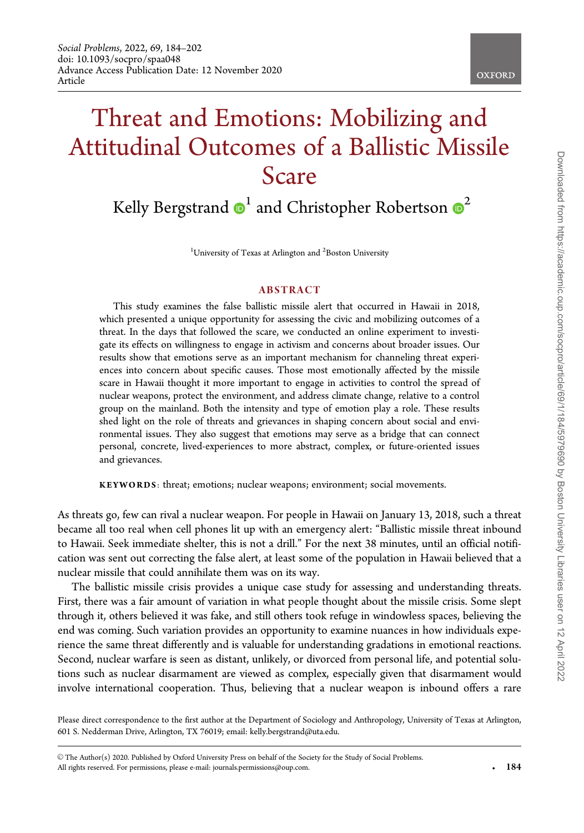# Threat and Emotions: Mobilizing and Attitudinal Outcomes of a Ballistic Missile Scare

Kelly Bergstrand  $\mathbf{D}^1$  and Christopher Robertson  $\mathbf{D}^2$ 

<sup>1</sup>University of Texas at Arlington and <sup>2</sup>Boston University

#### ABSTRACT

This study examines the false ballistic missile alert that occurred in Hawaii in 2018, which presented a unique opportunity for assessing the civic and mobilizing outcomes of a threat. In the days that followed the scare, we conducted an online experiment to investigate its effects on willingness to engage in activism and concerns about broader issues. Our results show that emotions serve as an important mechanism for channeling threat experiences into concern about specific causes. Those most emotionally affected by the missile scare in Hawaii thought it more important to engage in activities to control the spread of nuclear weapons, protect the environment, and address climate change, relative to a control group on the mainland. Both the intensity and type of emotion play a role. These results shed light on the role of threats and grievances in shaping concern about social and environmental issues. They also suggest that emotions may serve as a bridge that can connect personal, concrete, lived-experiences to more abstract, complex, or future-oriented issues and grievances.

KEYWORDS: threat; emotions; nuclear weapons; environment; social movements.

As threats go, few can rival a nuclear weapon. For people in Hawaii on January 13, 2018, such a threat became all too real when cell phones lit up with an emergency alert: "Ballistic missile threat inbound to Hawaii. Seek immediate shelter, this is not a drill." For the next 38 minutes, until an official notification was sent out correcting the false alert, at least some of the population in Hawaii believed that a nuclear missile that could annihilate them was on its way.

The ballistic missile crisis provides a unique case study for assessing and understanding threats. First, there was a fair amount of variation in what people thought about the missile crisis. Some slept through it, others believed it was fake, and still others took refuge in windowless spaces, believing the end was coming. Such variation provides an opportunity to examine nuances in how individuals experience the same threat differently and is valuable for understanding gradations in emotional reactions. Second, nuclear warfare is seen as distant, unlikely, or divorced from personal life, and potential solutions such as nuclear disarmament are viewed as complex, especially given that disarmament would involve international cooperation. Thus, believing that a nuclear weapon is inbound offers a rare

Please direct correspondence to the first author at the Department of Sociology and Anthropology, University of Texas at Arlington, 601 S. Nedderman Drive, Arlington, TX 76019; email: kelly.bergstrand@uta.edu.

V<sup>C</sup> The Author(s) 2020. Published by Oxford University Press on behalf of the Society for the Study of Social Problems. All rights reserved. For permissions, please e-mail: journals.permissions@oup.com. -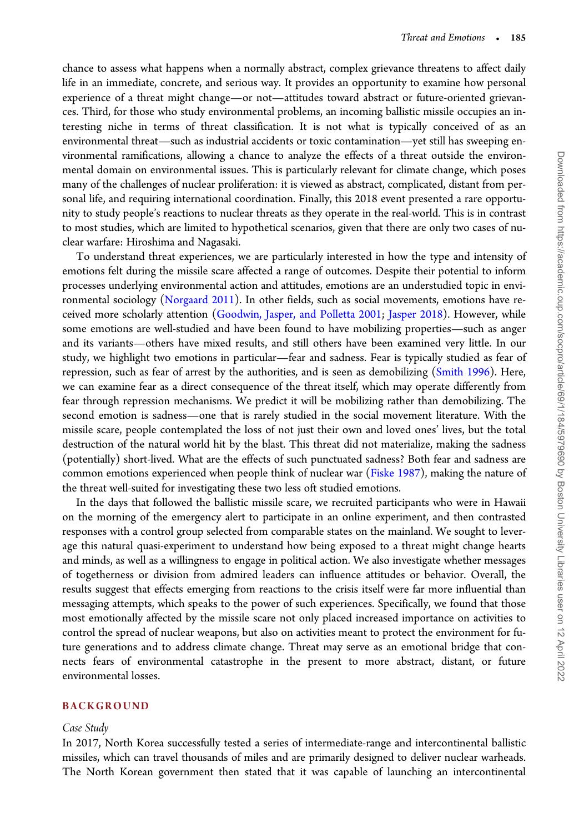chance to assess what happens when a normally abstract, complex grievance threatens to affect daily life in an immediate, concrete, and serious way. It provides an opportunity to examine how personal experience of a threat might change—or not—attitudes toward abstract or future-oriented grievances. Third, for those who study environmental problems, an incoming ballistic missile occupies an interesting niche in terms of threat classification. It is not what is typically conceived of as an environmental threat—such as industrial accidents or toxic contamination—yet still has sweeping environmental ramifications, allowing a chance to analyze the effects of a threat outside the environmental domain on environmental issues. This is particularly relevant for climate change, which poses many of the challenges of nuclear proliferation: it is viewed as abstract, complicated, distant from personal life, and requiring international coordination. Finally, this 2018 event presented a rare opportunity to study people's reactions to nuclear threats as they operate in the real-world. This is in contrast to most studies, which are limited to hypothetical scenarios, given that there are only two cases of nuclear warfare: Hiroshima and Nagasaki.

To understand threat experiences, we are particularly interested in how the type and intensity of emotions felt during the missile scare affected a range of outcomes. Despite their potential to inform processes underlying environmental action and attitudes, emotions are an understudied topic in environmental sociology (Norgaard 2011). In other fields, such as social movements, emotions have received more scholarly attention (Goodwin, Jasper, and Polletta 2001; Jasper 2018). However, while some emotions are well-studied and have been found to have mobilizing properties—such as anger and its variants—others have mixed results, and still others have been examined very little. In our study, we highlight two emotions in particular—fear and sadness. Fear is typically studied as fear of repression, such as fear of arrest by the authorities, and is seen as demobilizing (Smith 1996). Here, we can examine fear as a direct consequence of the threat itself, which may operate differently from fear through repression mechanisms. We predict it will be mobilizing rather than demobilizing. The second emotion is sadness—one that is rarely studied in the social movement literature. With the missile scare, people contemplated the loss of not just their own and loved ones' lives, but the total destruction of the natural world hit by the blast. This threat did not materialize, making the sadness (potentially) short-lived. What are the effects of such punctuated sadness? Both fear and sadness are common emotions experienced when people think of nuclear war (Fiske 1987), making the nature of the threat well-suited for investigating these two less oft studied emotions.

In the days that followed the ballistic missile scare, we recruited participants who were in Hawaii on the morning of the emergency alert to participate in an online experiment, and then contrasted responses with a control group selected from comparable states on the mainland. We sought to leverage this natural quasi-experiment to understand how being exposed to a threat might change hearts and minds, as well as a willingness to engage in political action. We also investigate whether messages of togetherness or division from admired leaders can influence attitudes or behavior. Overall, the results suggest that effects emerging from reactions to the crisis itself were far more influential than messaging attempts, which speaks to the power of such experiences. Specifically, we found that those most emotionally affected by the missile scare not only placed increased importance on activities to control the spread of nuclear weapons, but also on activities meant to protect the environment for future generations and to address climate change. Threat may serve as an emotional bridge that connects fears of environmental catastrophe in the present to more abstract, distant, or future environmental losses.

#### BACKGROUND

#### Case Study

In 2017, North Korea successfully tested a series of intermediate-range and intercontinental ballistic missiles, which can travel thousands of miles and are primarily designed to deliver nuclear warheads. The North Korean government then stated that it was capable of launching an intercontinental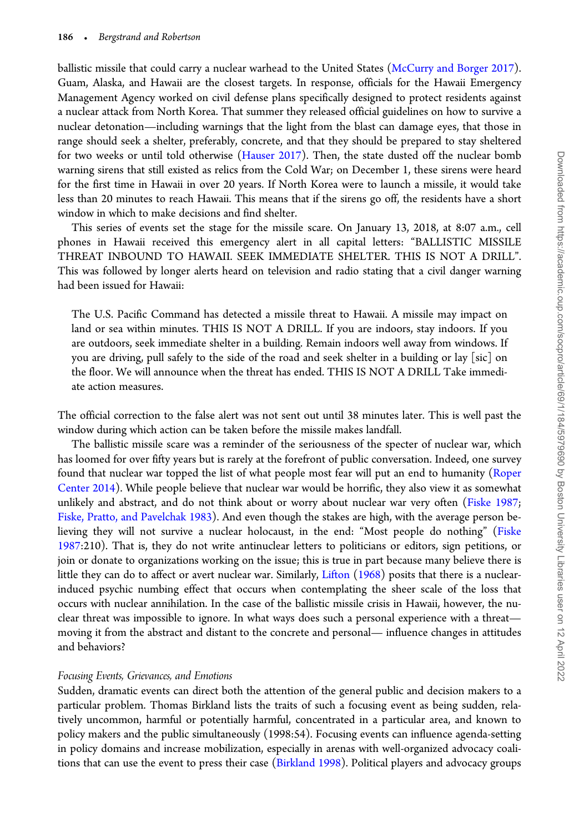ballistic missile that could carry a nuclear warhead to the United States (McCurry and Borger 2017). Guam, Alaska, and Hawaii are the closest targets. In response, officials for the Hawaii Emergency Management Agency worked on civil defense plans specifically designed to protect residents against a nuclear attack from North Korea. That summer they released official guidelines on how to survive a nuclear detonation—including warnings that the light from the blast can damage eyes, that those in range should seek a shelter, preferably, concrete, and that they should be prepared to stay sheltered for two weeks or until told otherwise (Hauser 2017). Then, the state dusted off the nuclear bomb warning sirens that still existed as relics from the Cold War; on December 1, these sirens were heard for the first time in Hawaii in over 20 years. If North Korea were to launch a missile, it would take less than 20 minutes to reach Hawaii. This means that if the sirens go off, the residents have a short window in which to make decisions and find shelter.

This series of events set the stage for the missile scare. On January 13, 2018, at 8:07 a.m., cell phones in Hawaii received this emergency alert in all capital letters: "BALLISTIC MISSILE THREAT INBOUND TO HAWAII. SEEK IMMEDIATE SHELTER. THIS IS NOT A DRILL". This was followed by longer alerts heard on television and radio stating that a civil danger warning had been issued for Hawaii:

The U.S. Pacific Command has detected a missile threat to Hawaii. A missile may impact on land or sea within minutes. THIS IS NOT A DRILL. If you are indoors, stay indoors. If you are outdoors, seek immediate shelter in a building. Remain indoors well away from windows. If you are driving, pull safely to the side of the road and seek shelter in a building or lay [sic] on the floor. We will announce when the threat has ended. THIS IS NOT A DRILL Take immediate action measures.

The official correction to the false alert was not sent out until 38 minutes later. This is well past the window during which action can be taken before the missile makes landfall.

The ballistic missile scare was a reminder of the seriousness of the specter of nuclear war, which has loomed for over fifty years but is rarely at the forefront of public conversation. Indeed, one survey found that nuclear war topped the list of what people most fear will put an end to humanity (Roper Center 2014). While people believe that nuclear war would be horrific, they also view it as somewhat unlikely and abstract, and do not think about or worry about nuclear war very often (Fiske 1987; Fiske, Pratto, and Pavelchak 1983). And even though the stakes are high, with the average person believing they will not survive a nuclear holocaust, in the end: "Most people do nothing" (Fiske 1987:210). That is, they do not write antinuclear letters to politicians or editors, sign petitions, or join or donate to organizations working on the issue; this is true in part because many believe there is little they can do to affect or avert nuclear war. Similarly, Lifton (1968) posits that there is a nuclearinduced psychic numbing effect that occurs when contemplating the sheer scale of the loss that occurs with nuclear annihilation. In the case of the ballistic missile crisis in Hawaii, however, the nuclear threat was impossible to ignore. In what ways does such a personal experience with a threat moving it from the abstract and distant to the concrete and personal— influence changes in attitudes and behaviors?

#### Focusing Events, Grievances, and Emotions

Sudden, dramatic events can direct both the attention of the general public and decision makers to a particular problem. Thomas Birkland lists the traits of such a focusing event as being sudden, relatively uncommon, harmful or potentially harmful, concentrated in a particular area, and known to policy makers and the public simultaneously (1998:54). Focusing events can influence agenda-setting in policy domains and increase mobilization, especially in arenas with well-organized advocacy coalitions that can use the event to press their case (Birkland 1998). Political players and advocacy groups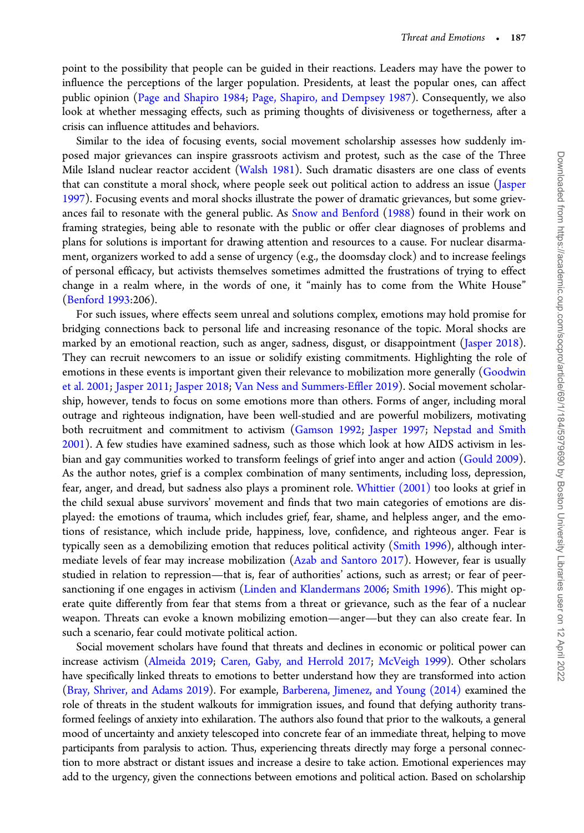point to the possibility that people can be guided in their reactions. Leaders may have the power to influence the perceptions of the larger population. Presidents, at least the popular ones, can affect public opinion (Page and Shapiro 1984; Page, Shapiro, and Dempsey 1987). Consequently, we also look at whether messaging effects, such as priming thoughts of divisiveness or togetherness, after a crisis can influence attitudes and behaviors.

Similar to the idea of focusing events, social movement scholarship assesses how suddenly imposed major grievances can inspire grassroots activism and protest, such as the case of the Three Mile Island nuclear reactor accident (Walsh 1981). Such dramatic disasters are one class of events that can constitute a moral shock, where people seek out political action to address an issue (Jasper 1997). Focusing events and moral shocks illustrate the power of dramatic grievances, but some grievances fail to resonate with the general public. As Snow and Benford (1988) found in their work on framing strategies, being able to resonate with the public or offer clear diagnoses of problems and plans for solutions is important for drawing attention and resources to a cause. For nuclear disarmament, organizers worked to add a sense of urgency (e.g., the doomsday clock) and to increase feelings of personal efficacy, but activists themselves sometimes admitted the frustrations of trying to effect change in a realm where, in the words of one, it "mainly has to come from the White House" (Benford 1993:206).

For such issues, where effects seem unreal and solutions complex, emotions may hold promise for bridging connections back to personal life and increasing resonance of the topic. Moral shocks are marked by an emotional reaction, such as anger, sadness, disgust, or disappointment (Jasper 2018). They can recruit newcomers to an issue or solidify existing commitments. Highlighting the role of emotions in these events is important given their relevance to mobilization more generally (Goodwin et al. 2001; Jasper 2011; Jasper 2018; Van Ness and Summers-Effler 2019). Social movement scholarship, however, tends to focus on some emotions more than others. Forms of anger, including moral outrage and righteous indignation, have been well-studied and are powerful mobilizers, motivating both recruitment and commitment to activism (Gamson 1992; Jasper 1997; Nepstad and Smith 2001). A few studies have examined sadness, such as those which look at how AIDS activism in lesbian and gay communities worked to transform feelings of grief into anger and action (Gould 2009). As the author notes, grief is a complex combination of many sentiments, including loss, depression, fear, anger, and dread, but sadness also plays a prominent role. Whittier (2001) too looks at grief in the child sexual abuse survivors' movement and finds that two main categories of emotions are displayed: the emotions of trauma, which includes grief, fear, shame, and helpless anger, and the emotions of resistance, which include pride, happiness, love, confidence, and righteous anger. Fear is typically seen as a demobilizing emotion that reduces political activity (Smith 1996), although intermediate levels of fear may increase mobilization (Azab and Santoro 2017). However, fear is usually studied in relation to repression—that is, fear of authorities' actions, such as arrest; or fear of peersanctioning if one engages in activism (Linden and Klandermans 2006; Smith 1996). This might operate quite differently from fear that stems from a threat or grievance, such as the fear of a nuclear weapon. Threats can evoke a known mobilizing emotion—anger—but they can also create fear. In such a scenario, fear could motivate political action.

Social movement scholars have found that threats and declines in economic or political power can increase activism (Almeida 2019; Caren, Gaby, and Herrold 2017; McVeigh 1999). Other scholars have specifically linked threats to emotions to better understand how they are transformed into action (Bray, Shriver, and Adams 2019). For example, Barberena, Jimenez, and Young (2014) examined the role of threats in the student walkouts for immigration issues, and found that defying authority transformed feelings of anxiety into exhilaration. The authors also found that prior to the walkouts, a general mood of uncertainty and anxiety telescoped into concrete fear of an immediate threat, helping to move participants from paralysis to action. Thus, experiencing threats directly may forge a personal connection to more abstract or distant issues and increase a desire to take action. Emotional experiences may add to the urgency, given the connections between emotions and political action. Based on scholarship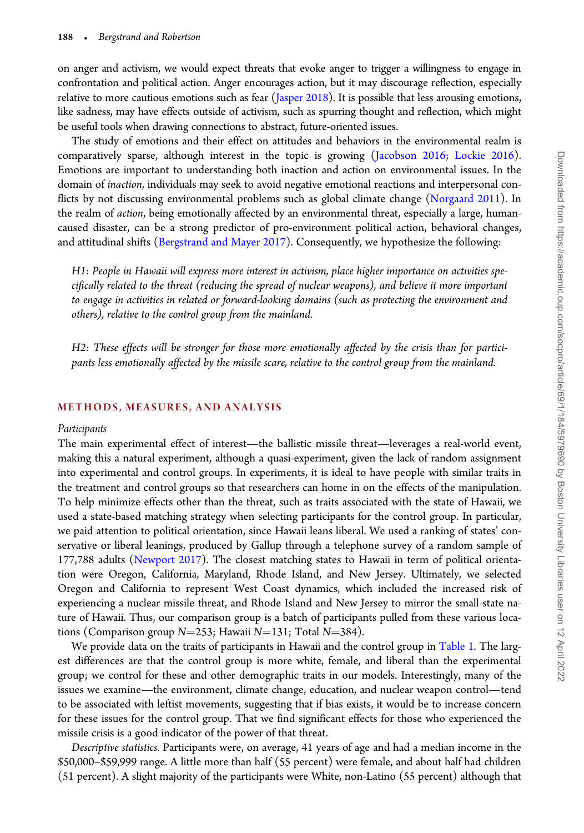on anger and activism, we would expect threats that evoke anger to trigger a willingness to engage in confrontation and political action. Anger encourages action, but it may discourage reflection, especially relative to more cautious emotions such as fear (Jasper 2018). It is possible that less arousing emotions, like sadness, may have effects outside of activism, such as spurring thought and reflection, which might be useful tools when drawing connections to abstract, future-oriented issues.

The study of emotions and their effect on attitudes and behaviors in the environmental realm is comparatively sparse, although interest in the topic is growing (Jacobson 2016; Lockie 2016). Emotions are important to understanding both inaction and action on environmental issues. In the domain of inaction, individuals may seek to avoid negative emotional reactions and interpersonal conflicts by not discussing environmental problems such as global climate change (Norgaard 2011). In the realm of action, being emotionally affected by an environmental threat, especially a large, humancaused disaster, can be a strong predictor of pro-environment political action, behavioral changes, and attitudinal shifts (Bergstrand and Mayer 2017). Consequently, we hypothesize the following:

H1: People in Hawaii will express more interest in activism, place higher importance on activities specifically related to the threat (reducing the spread of nuclear weapons), and believe it more important to engage in activities in related or forward-looking domains (such as protecting the environment and others), relative to the control group from the mainland.

H2: These effects will be stronger for those more emotionally affected by the crisis than for participants less emotionally affected by the missile scare, relative to the control group from the mainland.

#### METHODS, MEASURES, AND ANALYSIS

#### Participants

The main experimental effect of interest—the ballistic missile threat—leverages a real-world event, making this a natural experiment, although a quasi-experiment, given the lack of random assignment into experimental and control groups. In experiments, it is ideal to have people with similar traits in the treatment and control groups so that researchers can home in on the effects of the manipulation. To help minimize effects other than the threat, such as traits associated with the state of Hawaii, we used a state-based matching strategy when selecting participants for the control group. In particular, we paid attention to political orientation, since Hawaii leans liberal. We used a ranking of states' conservative or liberal leanings, produced by Gallup through a telephone survey of a random sample of 177,788 adults (Newport 2017). The closest matching states to Hawaii in term of political orientation were Oregon, California, Maryland, Rhode Island, and New Jersey. Ultimately, we selected Oregon and California to represent West Coast dynamics, which included the increased risk of experiencing a nuclear missile threat, and Rhode Island and New Jersey to mirror the small-state nature of Hawaii. Thus, our comparison group is a batch of participants pulled from these various locations (Comparison group  $N=253$ ; Hawaii  $N=131$ ; Total  $N=384$ ).

We provide data on the traits of participants in Hawaii and the control group in Table 1. The largest differences are that the control group is more white, female, and liberal than the experimental group; we control for these and other demographic traits in our models. Interestingly, many of the issues we examine—the environment, climate change, education, and nuclear weapon control—tend to be associated with leftist movements, suggesting that if bias exists, it would be to increase concern for these issues for the control group. That we find significant effects for those who experienced the missile crisis is a good indicator of the power of that threat.

Descriptive statistics. Participants were, on average, 41 years of age and had a median income in the \$50,000–\$59,999 range. A little more than half (55 percent) were female, and about half had children (51 percent). A slight majority of the participants were White, non-Latino (55 percent) although that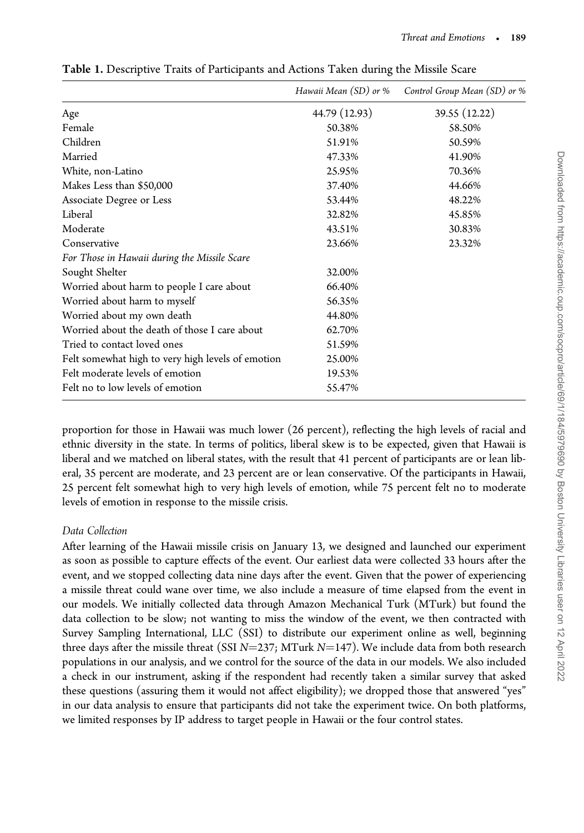|                                                   | Hawaii Mean (SD) or % | Control Group Mean (SD) or % |
|---------------------------------------------------|-----------------------|------------------------------|
| Age                                               | 44.79 (12.93)         | 39.55 (12.22)                |
| Female                                            | 50.38%                | 58.50%                       |
| Children                                          | 51.91%                | 50.59%                       |
| Married                                           | 47.33%                | 41.90%                       |
| White, non-Latino                                 | 25.95%                | 70.36%                       |
| Makes Less than \$50,000                          | 37.40%                | 44.66%                       |
| Associate Degree or Less                          | 53.44%                | 48.22%                       |
| Liberal                                           | 32.82%                | 45.85%                       |
| Moderate                                          | 43.51%                | 30.83%                       |
| Conservative                                      | 23.66%                | 23.32%                       |
| For Those in Hawaii during the Missile Scare      |                       |                              |
| Sought Shelter                                    | 32.00%                |                              |
| Worried about harm to people I care about         | 66.40%                |                              |
| Worried about harm to myself                      | 56.35%                |                              |
| Worried about my own death                        | 44.80%                |                              |
| Worried about the death of those I care about     | 62.70%                |                              |
| Tried to contact loved ones                       | 51.59%                |                              |
| Felt somewhat high to very high levels of emotion | 25.00%                |                              |
| Felt moderate levels of emotion                   | 19.53%                |                              |
| Felt no to low levels of emotion                  | 55.47%                |                              |

Table 1. Descriptive Traits of Participants and Actions Taken during the Missile Scare

proportion for those in Hawaii was much lower (26 percent), reflecting the high levels of racial and ethnic diversity in the state. In terms of politics, liberal skew is to be expected, given that Hawaii is liberal and we matched on liberal states, with the result that 41 percent of participants are or lean liberal, 35 percent are moderate, and 23 percent are or lean conservative. Of the participants in Hawaii, 25 percent felt somewhat high to very high levels of emotion, while 75 percent felt no to moderate levels of emotion in response to the missile crisis.

#### Data Collection

After learning of the Hawaii missile crisis on January 13, we designed and launched our experiment as soon as possible to capture effects of the event. Our earliest data were collected 33 hours after the event, and we stopped collecting data nine days after the event. Given that the power of experiencing a missile threat could wane over time, we also include a measure of time elapsed from the event in our models. We initially collected data through Amazon Mechanical Turk (MTurk) but found the data collection to be slow; not wanting to miss the window of the event, we then contracted with Survey Sampling International, LLC (SSI) to distribute our experiment online as well, beginning three days after the missile threat (SSI  $N=237$ ; MTurk  $N=147$ ). We include data from both research populations in our analysis, and we control for the source of the data in our models. We also included a check in our instrument, asking if the respondent had recently taken a similar survey that asked these questions (assuring them it would not affect eligibility); we dropped those that answered "yes" in our data analysis to ensure that participants did not take the experiment twice. On both platforms, we limited responses by IP address to target people in Hawaii or the four control states.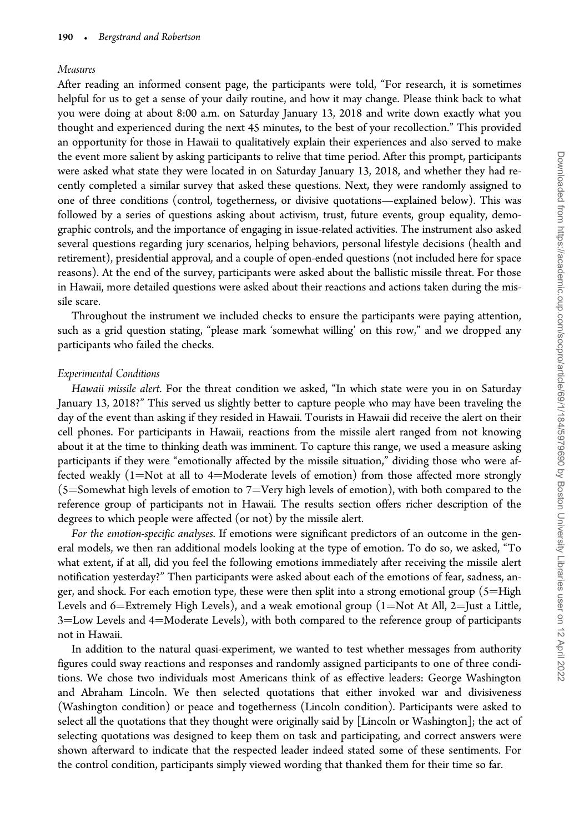#### Measures

After reading an informed consent page, the participants were told, "For research, it is sometimes helpful for us to get a sense of your daily routine, and how it may change. Please think back to what you were doing at about 8:00 a.m. on Saturday January 13, 2018 and write down exactly what you thought and experienced during the next 45 minutes, to the best of your recollection." This provided an opportunity for those in Hawaii to qualitatively explain their experiences and also served to make the event more salient by asking participants to relive that time period. After this prompt, participants were asked what state they were located in on Saturday January 13, 2018, and whether they had recently completed a similar survey that asked these questions. Next, they were randomly assigned to one of three conditions (control, togetherness, or divisive quotations—explained below). This was followed by a series of questions asking about activism, trust, future events, group equality, demographic controls, and the importance of engaging in issue-related activities. The instrument also asked several questions regarding jury scenarios, helping behaviors, personal lifestyle decisions (health and retirement), presidential approval, and a couple of open-ended questions (not included here for space reasons). At the end of the survey, participants were asked about the ballistic missile threat. For those in Hawaii, more detailed questions were asked about their reactions and actions taken during the missile scare.

Throughout the instrument we included checks to ensure the participants were paying attention, such as a grid question stating, "please mark 'somewhat willing' on this row," and we dropped any participants who failed the checks.

#### Experimental Conditions

Hawaii missile alert. For the threat condition we asked, "In which state were you in on Saturday January 13, 2018?" This served us slightly better to capture people who may have been traveling the day of the event than asking if they resided in Hawaii. Tourists in Hawaii did receive the alert on their cell phones. For participants in Hawaii, reactions from the missile alert ranged from not knowing about it at the time to thinking death was imminent. To capture this range, we used a measure asking participants if they were "emotionally affected by the missile situation," dividing those who were affected weakly  $(1=Not at all to 4=Moderate levels of emotion)$  from those affected more strongly  $(5=$  Somewhat high levels of emotion to 7=Very high levels of emotion), with both compared to the reference group of participants not in Hawaii. The results section offers richer description of the degrees to which people were affected (or not) by the missile alert.

For the emotion-specific analyses. If emotions were significant predictors of an outcome in the general models, we then ran additional models looking at the type of emotion. To do so, we asked, "To what extent, if at all, did you feel the following emotions immediately after receiving the missile alert notification yesterday?" Then participants were asked about each of the emotions of fear, sadness, anger, and shock. For each emotion type, these were then split into a strong emotional group  $(5=High)$ Levels and 6=Extremely High Levels), and a weak emotional group (1=Not At All, 2=Just a Little, 3=Low Levels and 4=Moderate Levels), with both compared to the reference group of participants not in Hawaii.

In addition to the natural quasi-experiment, we wanted to test whether messages from authority figures could sway reactions and responses and randomly assigned participants to one of three conditions. We chose two individuals most Americans think of as effective leaders: George Washington and Abraham Lincoln. We then selected quotations that either invoked war and divisiveness (Washington condition) or peace and togetherness (Lincoln condition). Participants were asked to select all the quotations that they thought were originally said by [Lincoln or Washington]; the act of selecting quotations was designed to keep them on task and participating, and correct answers were shown afterward to indicate that the respected leader indeed stated some of these sentiments. For the control condition, participants simply viewed wording that thanked them for their time so far.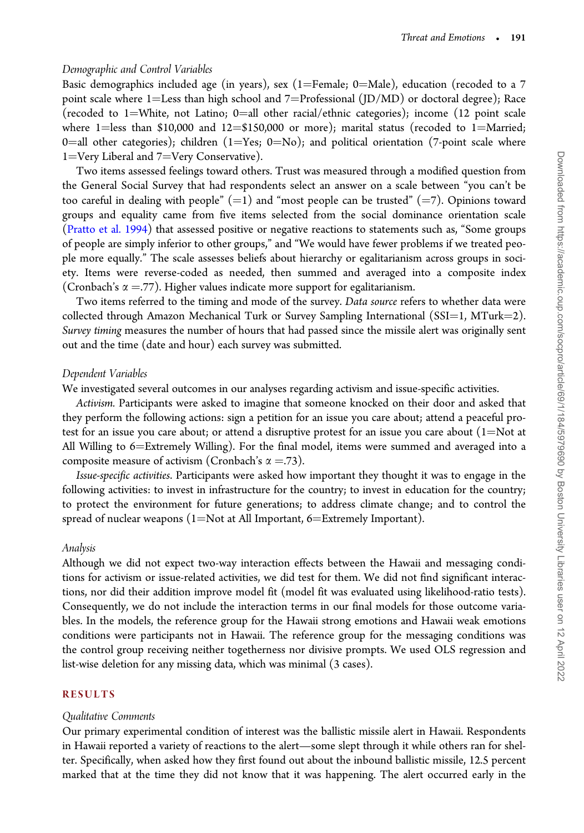#### Demographic and Control Variables

Basic demographics included age (in years), sex (1=Female; 0=Male), education (recoded to a 7 point scale where 1=Less than high school and 7=Professional (JD/MD) or doctoral degree); Race (recoded to 1=White, not Latino; 0=all other racial/ethnic categories); income (12 point scale where 1=less than \$10,000 and 12=\$150,000 or more); marital status (recoded to 1=Married; 0=all other categories); children (1=Yes; 0=No); and political orientation (7-point scale where 1=Very Liberal and 7=Very Conservative).

Two items assessed feelings toward others. Trust was measured through a modified question from the General Social Survey that had respondents select an answer on a scale between "you can't be too careful in dealing with people"  $(=1)$  and "most people can be trusted"  $(=7)$ . Opinions toward groups and equality came from five items selected from the social dominance orientation scale (Pratto et al. 1994) that assessed positive or negative reactions to statements such as, "Some groups of people are simply inferior to other groups," and "We would have fewer problems if we treated people more equally." The scale assesses beliefs about hierarchy or egalitarianism across groups in society. Items were reverse-coded as needed, then summed and averaged into a composite index (Cronbach's  $\alpha = .77$ ). Higher values indicate more support for egalitarianism.

Two items referred to the timing and mode of the survey. Data source refers to whether data were collected through Amazon Mechanical Turk or Survey Sampling International  $(SSI=1, MTurk=2)$ . Survey timing measures the number of hours that had passed since the missile alert was originally sent out and the time (date and hour) each survey was submitted.

#### Dependent Variables

We investigated several outcomes in our analyses regarding activism and issue-specific activities.

Activism. Participants were asked to imagine that someone knocked on their door and asked that they perform the following actions: sign a petition for an issue you care about; attend a peaceful protest for an issue you care about; or attend a disruptive protest for an issue you care about  $(1=Not at$ All Willing to 6=Extremely Willing). For the final model, items were summed and averaged into a composite measure of activism (Cronbach's  $\alpha = .73$ ).

Issue-specific activities. Participants were asked how important they thought it was to engage in the following activities: to invest in infrastructure for the country; to invest in education for the country; to protect the environment for future generations; to address climate change; and to control the spread of nuclear weapons (1=Not at All Important, 6=Extremely Important).

#### Analysis

Although we did not expect two-way interaction effects between the Hawaii and messaging conditions for activism or issue-related activities, we did test for them. We did not find significant interactions, nor did their addition improve model fit (model fit was evaluated using likelihood-ratio tests). Consequently, we do not include the interaction terms in our final models for those outcome variables. In the models, the reference group for the Hawaii strong emotions and Hawaii weak emotions conditions were participants not in Hawaii. The reference group for the messaging conditions was the control group receiving neither togetherness nor divisive prompts. We used OLS regression and list-wise deletion for any missing data, which was minimal (3 cases).

#### RESULTS

#### Qualitative Comments

Our primary experimental condition of interest was the ballistic missile alert in Hawaii. Respondents in Hawaii reported a variety of reactions to the alert—some slept through it while others ran for shelter. Specifically, when asked how they first found out about the inbound ballistic missile, 12.5 percent marked that at the time they did not know that it was happening. The alert occurred early in the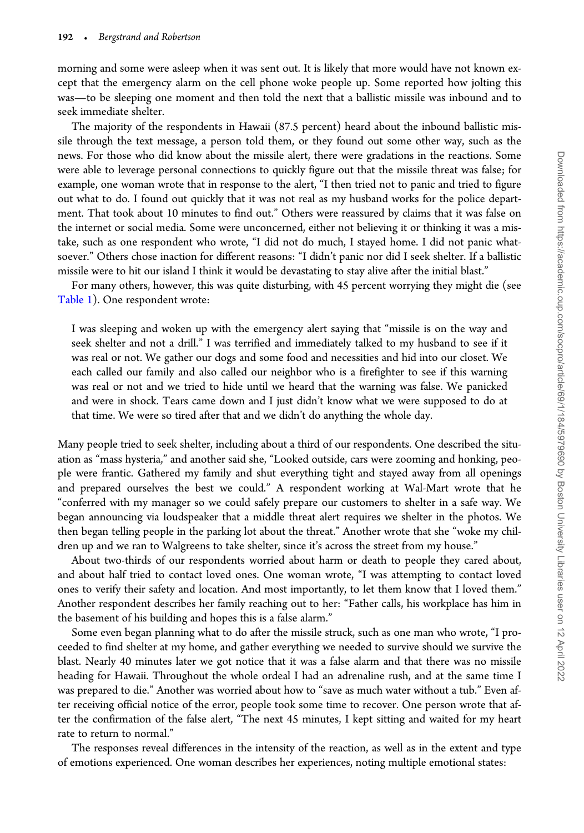morning and some were asleep when it was sent out. It is likely that more would have not known except that the emergency alarm on the cell phone woke people up. Some reported how jolting this was—to be sleeping one moment and then told the next that a ballistic missile was inbound and to seek immediate shelter.

The majority of the respondents in Hawaii (87.5 percent) heard about the inbound ballistic missile through the text message, a person told them, or they found out some other way, such as the news. For those who did know about the missile alert, there were gradations in the reactions. Some were able to leverage personal connections to quickly figure out that the missile threat was false; for example, one woman wrote that in response to the alert, "I then tried not to panic and tried to figure out what to do. I found out quickly that it was not real as my husband works for the police department. That took about 10 minutes to find out." Others were reassured by claims that it was false on the internet or social media. Some were unconcerned, either not believing it or thinking it was a mistake, such as one respondent who wrote, "I did not do much, I stayed home. I did not panic whatsoever." Others chose inaction for different reasons: "I didn't panic nor did I seek shelter. If a ballistic missile were to hit our island I think it would be devastating to stay alive after the initial blast."

For many others, however, this was quite disturbing, with 45 percent worrying they might die (see Table 1). One respondent wrote:

I was sleeping and woken up with the emergency alert saying that "missile is on the way and seek shelter and not a drill." I was terrified and immediately talked to my husband to see if it was real or not. We gather our dogs and some food and necessities and hid into our closet. We each called our family and also called our neighbor who is a firefighter to see if this warning was real or not and we tried to hide until we heard that the warning was false. We panicked and were in shock. Tears came down and I just didn't know what we were supposed to do at that time. We were so tired after that and we didn't do anything the whole day.

Many people tried to seek shelter, including about a third of our respondents. One described the situation as "mass hysteria," and another said she, "Looked outside, cars were zooming and honking, people were frantic. Gathered my family and shut everything tight and stayed away from all openings and prepared ourselves the best we could." A respondent working at Wal-Mart wrote that he "conferred with my manager so we could safely prepare our customers to shelter in a safe way. We began announcing via loudspeaker that a middle threat alert requires we shelter in the photos. We then began telling people in the parking lot about the threat." Another wrote that she "woke my children up and we ran to Walgreens to take shelter, since it's across the street from my house."

About two-thirds of our respondents worried about harm or death to people they cared about, and about half tried to contact loved ones. One woman wrote, "I was attempting to contact loved ones to verify their safety and location. And most importantly, to let them know that I loved them." Another respondent describes her family reaching out to her: "Father calls, his workplace has him in the basement of his building and hopes this is a false alarm."

Some even began planning what to do after the missile struck, such as one man who wrote, "I proceeded to find shelter at my home, and gather everything we needed to survive should we survive the blast. Nearly 40 minutes later we got notice that it was a false alarm and that there was no missile heading for Hawaii. Throughout the whole ordeal I had an adrenaline rush, and at the same time I was prepared to die." Another was worried about how to "save as much water without a tub." Even after receiving official notice of the error, people took some time to recover. One person wrote that after the confirmation of the false alert, "The next 45 minutes, I kept sitting and waited for my heart rate to return to normal."

The responses reveal differences in the intensity of the reaction, as well as in the extent and type of emotions experienced. One woman describes her experiences, noting multiple emotional states: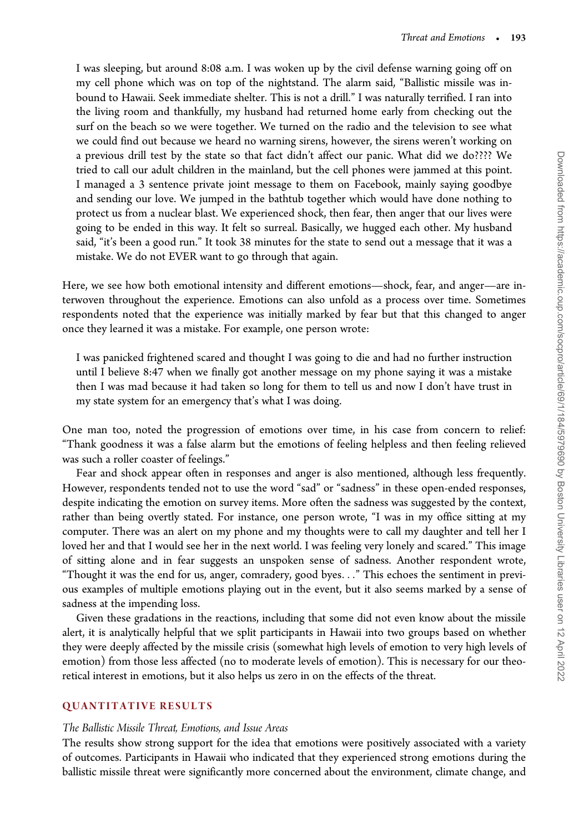I was sleeping, but around 8:08 a.m. I was woken up by the civil defense warning going off on my cell phone which was on top of the nightstand. The alarm said, "Ballistic missile was inbound to Hawaii. Seek immediate shelter. This is not a drill." I was naturally terrified. I ran into the living room and thankfully, my husband had returned home early from checking out the surf on the beach so we were together. We turned on the radio and the television to see what we could find out because we heard no warning sirens, however, the sirens weren't working on a previous drill test by the state so that fact didn't affect our panic. What did we do???? We tried to call our adult children in the mainland, but the cell phones were jammed at this point. I managed a 3 sentence private joint message to them on Facebook, mainly saying goodbye and sending our love. We jumped in the bathtub together which would have done nothing to protect us from a nuclear blast. We experienced shock, then fear, then anger that our lives were going to be ended in this way. It felt so surreal. Basically, we hugged each other. My husband said, "it's been a good run." It took 38 minutes for the state to send out a message that it was a mistake. We do not EVER want to go through that again.

Here, we see how both emotional intensity and different emotions—shock, fear, and anger—are interwoven throughout the experience. Emotions can also unfold as a process over time. Sometimes respondents noted that the experience was initially marked by fear but that this changed to anger once they learned it was a mistake. For example, one person wrote:

I was panicked frightened scared and thought I was going to die and had no further instruction until I believe 8:47 when we finally got another message on my phone saying it was a mistake then I was mad because it had taken so long for them to tell us and now I don't have trust in my state system for an emergency that's what I was doing.

One man too, noted the progression of emotions over time, in his case from concern to relief: "Thank goodness it was a false alarm but the emotions of feeling helpless and then feeling relieved was such a roller coaster of feelings."

Fear and shock appear often in responses and anger is also mentioned, although less frequently. However, respondents tended not to use the word "sad" or "sadness" in these open-ended responses, despite indicating the emotion on survey items. More often the sadness was suggested by the context, rather than being overtly stated. For instance, one person wrote, "I was in my office sitting at my computer. There was an alert on my phone and my thoughts were to call my daughter and tell her I loved her and that I would see her in the next world. I was feeling very lonely and scared." This image of sitting alone and in fear suggests an unspoken sense of sadness. Another respondent wrote, "Thought it was the end for us, anger, comradery, good byes..." This echoes the sentiment in previous examples of multiple emotions playing out in the event, but it also seems marked by a sense of sadness at the impending loss.

Given these gradations in the reactions, including that some did not even know about the missile alert, it is analytically helpful that we split participants in Hawaii into two groups based on whether they were deeply affected by the missile crisis (somewhat high levels of emotion to very high levels of emotion) from those less affected (no to moderate levels of emotion). This is necessary for our theoretical interest in emotions, but it also helps us zero in on the effects of the threat.

#### QUANTITATIVE RESULTS

#### The Ballistic Missile Threat, Emotions, and Issue Areas

The results show strong support for the idea that emotions were positively associated with a variety of outcomes. Participants in Hawaii who indicated that they experienced strong emotions during the ballistic missile threat were significantly more concerned about the environment, climate change, and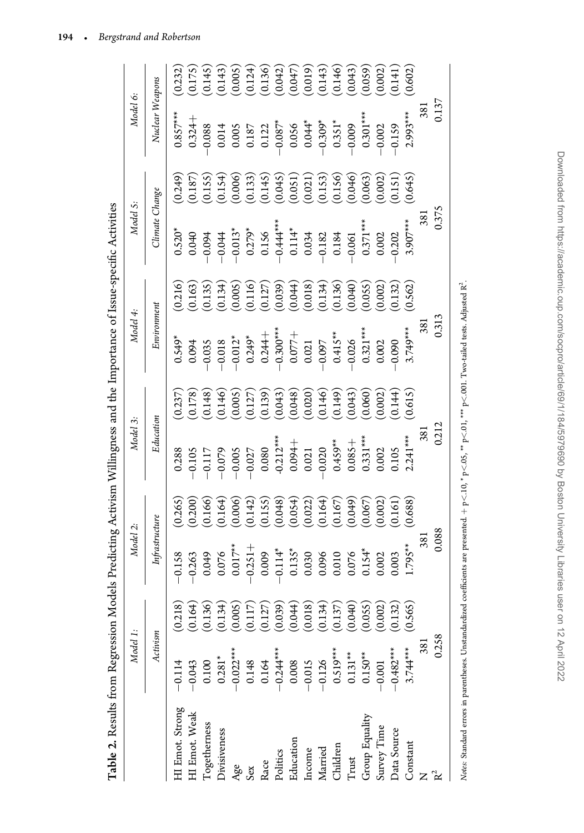|                                            |          | Model 2:       |         | Model 3:                                |                                                  | Model 4:                                                    |                        | Model S:                                                                                                                                                                                                                                                                                                                      |                                     | Model 6:                                               |                                                                                      |
|--------------------------------------------|----------|----------------|---------|-----------------------------------------|--------------------------------------------------|-------------------------------------------------------------|------------------------|-------------------------------------------------------------------------------------------------------------------------------------------------------------------------------------------------------------------------------------------------------------------------------------------------------------------------------|-------------------------------------|--------------------------------------------------------|--------------------------------------------------------------------------------------|
|                                            | Activism | Infrastructure |         | Education                               |                                                  | Environment                                                 |                        | Climate Change                                                                                                                                                                                                                                                                                                                |                                     | Nuclear Weapons                                        |                                                                                      |
| $-0.114$<br>HI Emot. Strong                | (0.218)  | $-0.158$       | 0.265   | 0.288                                   | 0.237                                            | $0.549*$                                                    | 0.216                  | $0.520*$                                                                                                                                                                                                                                                                                                                      | 0.249                               | $0.857***$                                             | (0.232)                                                                              |
| $-0.043$<br>HI Emot. Weak                  | (0.164)  | $-0.263$       | (0.200) | $-0.105$                                |                                                  | 0.094                                                       | (0.163)                | 0.040                                                                                                                                                                                                                                                                                                                         | (0.187)                             | $0.324 +$                                              |                                                                                      |
| $0.100$<br>$0.281*$<br><b>Logetherness</b> | (0.136)  | 0.049          | 0.166   | $-0.117$                                | $(0.178)$<br>$(0.148)$<br>$(0.146)$<br>$(0.005)$ | 0.035                                                       | (0.135)                | $-0.044$                                                                                                                                                                                                                                                                                                                      | (0.155)                             | 0.088                                                  | $\begin{array}{c} (0.175)\ (0.145)\ (0.143)\ (0.005)\ (0.024)\ (0.124)\ \end{array}$ |
| <b>Jivisiveness</b>                        | (0.134)  | 0.076          | (0.164) | $-0.079$                                |                                                  | $-0.018$                                                    | (0.134)                |                                                                                                                                                                                                                                                                                                                               | $(0.154)$<br>$(0.006)$              | 0.014                                                  |                                                                                      |
| $-0.022***$<br>Age                         | (0.005)  | $0.017***$     | (0.006) | $-0.005$                                |                                                  |                                                             | (0.005)                |                                                                                                                                                                                                                                                                                                                               |                                     |                                                        |                                                                                      |
| 0.148<br>Sex                               | (0.117)  | $-0.251 +$     | (0.142) | $-0.027$<br>0.080<br>0.212***<br>0.094+ | (0.127)                                          | $-0.012$ *<br>0.249*<br>0.244+<br>0.077+<br>0.077+<br>0.021 | (0.116)                | $\begin{array}{r} 13^* \\ -0.013^* \\ 0.279^* \\ 0.156 \\ -0.44^{**} \\ 0.11^* \\ -0.034 \\ -0.034 \\ -0.034 \\ -0.005 \\ -0.001 \\ -0.001 \\ -0.001 \\ -0.001 \\ -0.001 \\ -0.001 \\ -0.001 \\ -0.001 \\ -0.001 \\ -0.001 \\ -0.001 \\ -0.001 \\ -0.001 \\ -0.001 \\ -0.001 \\ -0.001 \\ -0.001 \\ -0.001 \\ -0.001 \\ -0.0$ | (0.133)                             | $\begin{array}{c} 0.005 \\ 0.187 \\ 0.122 \end{array}$ |                                                                                      |
| 0.164<br>Race                              | (0.127)  | 0.009          | (0.155) |                                         | (0.139)                                          |                                                             | (0.127)                |                                                                                                                                                                                                                                                                                                                               | (0.145)                             |                                                        |                                                                                      |
| $-0.244***$<br>Politics                    | (0.039)  | $-0.114*$      | (0.048) |                                         | (0.043)                                          |                                                             |                        |                                                                                                                                                                                                                                                                                                                               | (0.045)                             | $-0.087^*$                                             |                                                                                      |
| 0.008<br>Education                         | (0.044)  | $0.135*$       | (0.054) |                                         | (0.048)                                          |                                                             | $(0.039)$<br>$(0.044)$ |                                                                                                                                                                                                                                                                                                                               | (0.051)                             |                                                        | $(0.042)$<br>$(0.047)$                                                               |
| $-0.015$<br>Income                         | (0.018)  | 0.030          | (0.022) | 0.021                                   | (0.020)                                          |                                                             | (0.018)                |                                                                                                                                                                                                                                                                                                                               | (0.021)                             | $0.056$<br>$0.044*$                                    | (0.019)                                                                              |
| $-0.126$<br>Married                        | (0.134)  | 0.096          | 0.164   | $-0.020$                                | $(0.146)$<br>$(0.149)$                           | $-0.097$                                                    | (0.134)                |                                                                                                                                                                                                                                                                                                                               |                                     | $-0.309*$                                              | $(0.143)$<br>$(0.146)$                                                               |
| $0.519***$<br>Children                     | (0.137)  | 0.010          | 0.167   | $0.459***$                              |                                                  | $0.415***$                                                  | (0.136)                |                                                                                                                                                                                                                                                                                                                               | $(0.153)$<br>$(0.156)$<br>$(0.046)$ | $0.351*$                                               |                                                                                      |
| $0.131***$<br>Trust                        | (0.040)  | 0.076          | (0.049) | $0.085 +$                               | (0.043)                                          | $-0.026$                                                    | (0.040)                |                                                                                                                                                                                                                                                                                                                               |                                     | $-0.009$                                               | (0.043)                                                                              |
| $0.150**$<br>Group Equality                | (0.055)  | $0.154*$       | 0.067   | $0.331***$                              | (0.060)                                          | $0.321***$                                                  | (0.055)                | $0.371***$                                                                                                                                                                                                                                                                                                                    | 0.063                               | $0.301***$                                             | (0.059)                                                                              |
| $-0.001$<br>Survey Time                    | (0.002)  | 0.002          | 0.002   | 0.002                                   | (0.002)                                          | 0.002                                                       | 0.002                  | 0.002                                                                                                                                                                                                                                                                                                                         | 0.002                               | $-0.002$                                               | (0.002)                                                                              |
| $-0.482***$<br>Data Source                 | (0.132)  | 0.003          | 0.161   | 0.105                                   | (0.144)                                          | 0.090                                                       | 0.132                  | 0.202                                                                                                                                                                                                                                                                                                                         | 0.151                               | $-0.159$                                               | 0.141                                                                                |
| $3.74***$<br>Constant                      | 0.565    | $1.795***$     | 0.688)  | $2.241***$                              | (0.615)                                          | 3.749***                                                    | 0.562)                 | $3.907***$                                                                                                                                                                                                                                                                                                                    | 0.645                               | $2.993***$                                             | (0.602)                                                                              |
|                                            | 381      | 381            |         | 381                                     |                                                  | 381                                                         |                        | 381                                                                                                                                                                                                                                                                                                                           |                                     | 381                                                    |                                                                                      |
|                                            | 0.258    | 0.088          |         | 0.212                                   |                                                  | 0.313                                                       |                        | 0.375                                                                                                                                                                                                                                                                                                                         |                                     | 0.137                                                  |                                                                                      |

Table 2. Results from Regression Models Predicting Activism Willingness and the Importance of Issue-specific Activities Table 2. Results from Regression Models Predicting Activism Willingness and the Importance of Issue-specific Activities

194 -Bergstrand and Robertson

> Downloaded from https://academic.oup.com/socpro/article/69/1/184/5979690 by Boston University Libraries user on 12 April 2022 Downloaded from https://academic.oup.com/socpro/article/69/1/184/5979690 by Boston University Libraries user on 12 April 2022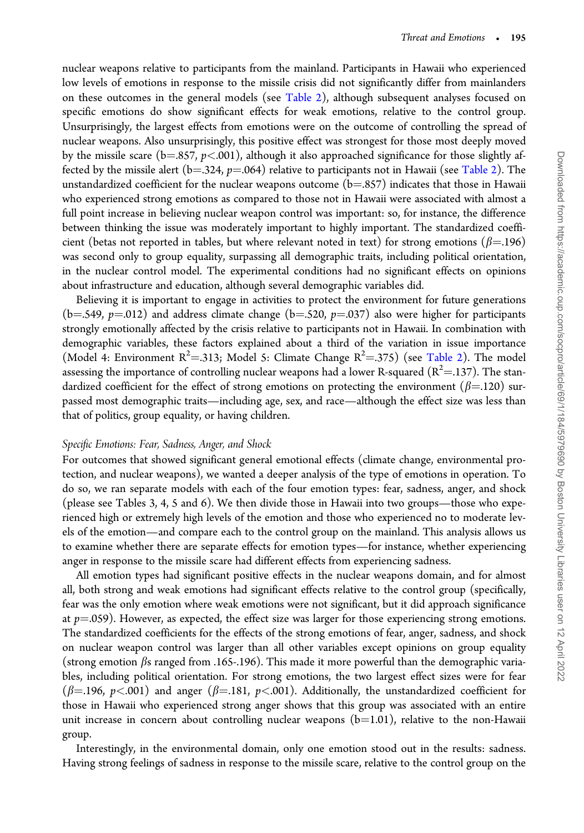nuclear weapons relative to participants from the mainland. Participants in Hawaii who experienced low levels of emotions in response to the missile crisis did not significantly differ from mainlanders on these outcomes in the general models (see Table 2), although subsequent analyses focused on specific emotions do show significant effects for weak emotions, relative to the control group. Unsurprisingly, the largest effects from emotions were on the outcome of controlling the spread of nuclear weapons. Also unsurprisingly, this positive effect was strongest for those most deeply moved by the missile scare ( $b=857$ ,  $p<0.001$ ), although it also approached significance for those slightly affected by the missile alert (b=.324,  $p=0.064$ ) relative to participants not in Hawaii (see Table 2). The unstandardized coefficient for the nuclear weapons outcome  $(b=.857)$  indicates that those in Hawaii who experienced strong emotions as compared to those not in Hawaii were associated with almost a full point increase in believing nuclear weapon control was important: so, for instance, the difference between thinking the issue was moderately important to highly important. The standardized coefficient (betas not reported in tables, but where relevant noted in text) for strong emotions ( $\beta$ =.196) was second only to group equality, surpassing all demographic traits, including political orientation, in the nuclear control model. The experimental conditions had no significant effects on opinions about infrastructure and education, although several demographic variables did.

Believing it is important to engage in activities to protect the environment for future generations (b=.549,  $p=0.012$ ) and address climate change (b=.520,  $p=0.037$ ) also were higher for participants strongly emotionally affected by the crisis relative to participants not in Hawaii. In combination with demographic variables, these factors explained about a third of the variation in issue importance (Model 4: Environment  $R^2$ =.313; Model 5: Climate Change  $R^2$ =.375) (see Table 2). The model assessing the importance of controlling nuclear weapons had a lower R-squared ( $R^2$ =.137). The standardized coefficient for the effect of strong emotions on protecting the environment ( $\beta$ =.120) surpassed most demographic traits—including age, sex, and race—although the effect size was less than that of politics, group equality, or having children.

#### Specific Emotions: Fear, Sadness, Anger, and Shock

For outcomes that showed significant general emotional effects (climate change, environmental protection, and nuclear weapons), we wanted a deeper analysis of the type of emotions in operation. To do so, we ran separate models with each of the four emotion types: fear, sadness, anger, and shock (please see Tables 3, 4, 5 and 6). We then divide those in Hawaii into two groups—those who experienced high or extremely high levels of the emotion and those who experienced no to moderate levels of the emotion—and compare each to the control group on the mainland. This analysis allows us to examine whether there are separate effects for emotion types—for instance, whether experiencing anger in response to the missile scare had different effects from experiencing sadness.

All emotion types had significant positive effects in the nuclear weapons domain, and for almost all, both strong and weak emotions had significant effects relative to the control group (specifically, fear was the only emotion where weak emotions were not significant, but it did approach significance at  $p=0.059$ ). However, as expected, the effect size was larger for those experiencing strong emotions. The standardized coefficients for the effects of the strong emotions of fear, anger, sadness, and shock on nuclear weapon control was larger than all other variables except opinions on group equality (strong emotion  $\beta$ s ranged from .165-.196). This made it more powerful than the demographic variables, including political orientation. For strong emotions, the two largest effect sizes were for fear ( $\beta$ =.196, p<.001) and anger ( $\beta$ =.181, p<.001). Additionally, the unstandardized coefficient for those in Hawaii who experienced strong anger shows that this group was associated with an entire unit increase in concern about controlling nuclear weapons  $(b=1.01)$ , relative to the non-Hawaii group.

Interestingly, in the environmental domain, only one emotion stood out in the results: sadness. Having strong feelings of sadness in response to the missile scare, relative to the control group on the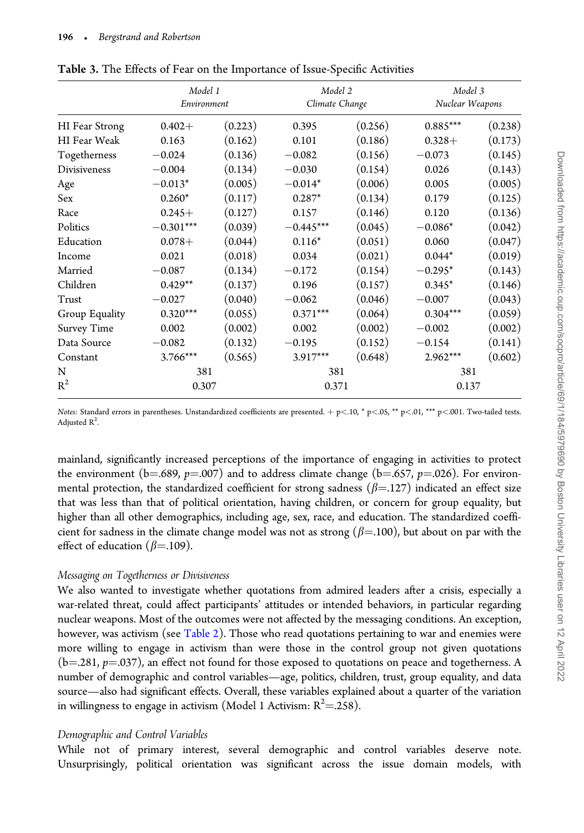|                     | Model 1<br>Environment |         | Model 2<br>Climate Change |         | Model 3<br>Nuclear Weapons |         |
|---------------------|------------------------|---------|---------------------------|---------|----------------------------|---------|
| HI Fear Strong      | $0.402 +$              | (0.223) | 0.395                     | (0.256) | $0.885***$                 | (0.238) |
| <b>HI</b> Fear Weak | 0.163                  | (0.162) | 0.101                     | (0.186) | $0.328+$                   | (0.173) |
| Togetherness        | $-0.024$               | (0.136) | $-0.082$                  | (0.156) | $-0.073$                   | (0.145) |
| Divisiveness        | $-0.004$               | (0.134) | $-0.030$                  | (0.154) | 0.026                      | (0.143) |
| Age                 | $-0.013*$              | (0.005) | $-0.014*$                 | (0.006) | 0.005                      | (0.005) |
| Sex                 | $0.260*$               | (0.117) | $0.287*$                  | (0.134) | 0.179                      | (0.125) |
| Race                | $0.245+$               | (0.127) | 0.157                     | (0.146) | 0.120                      | (0.136) |
| Politics            | $-0.301***$            | (0.039) | $-0.445***$               | (0.045) | $-0.086*$                  | (0.042) |
| Education           | $0.078+$               | (0.044) | $0.116*$                  | (0.051) | 0.060                      | (0.047) |
| Income              | 0.021                  | (0.018) | 0.034                     | (0.021) | $0.044*$                   | (0.019) |
| Married             | $-0.087$               | (0.134) | $-0.172$                  | (0.154) | $-0.295*$                  | (0.143) |
| Children            | $0.429**$              | (0.137) | 0.196                     | (0.157) | $0.345*$                   | (0.146) |
| Trust               | $-0.027$               | (0.040) | $-0.062$                  | (0.046) | $-0.007$                   | (0.043) |
| Group Equality      | $0.320***$             | (0.055) | $0.371***$                | (0.064) | $0.304***$                 | (0.059) |
| <b>Survey Time</b>  | 0.002                  | (0.002) | 0.002                     | (0.002) | $-0.002$                   | (0.002) |
| Data Source         | $-0.082$               | (0.132) | $-0.195$                  | (0.152) | $-0.154$                   | (0.141) |
| Constant            | $3.766***$             | (0.565) | 3.917***                  | (0.648) | $2.962***$                 | (0.602) |
| N                   | 381                    |         | 381                       |         | 381                        |         |
| $R^2$               | 0.307                  |         | 0.371                     |         | 0.137                      |         |

Table 3. The Effects of Fear on the Importance of Issue-Specific Activities

mainland, significantly increased perceptions of the importance of engaging in activities to protect the environment (b=.689,  $p=0.007$ ) and to address climate change (b=.657,  $p=0.026$ ). For environmental protection, the standardized coefficient for strong sadness ( $\beta$ =.127) indicated an effect size that was less than that of political orientation, having children, or concern for group equality, but higher than all other demographics, including age, sex, race, and education. The standardized coefficient for sadness in the climate change model was not as strong  $(\beta=100)$ , but about on par with the effect of education ( $\beta$ =.109).

#### Messaging on Togetherness or Divisiveness

We also wanted to investigate whether quotations from admired leaders after a crisis, especially a war-related threat, could affect participants' attitudes or intended behaviors, in particular regarding nuclear weapons. Most of the outcomes were not affected by the messaging conditions. An exception, however, was activism (see Table 2). Those who read quotations pertaining to war and enemies were more willing to engage in activism than were those in the control group not given quotations (b=.281,  $p=$ .037), an effect not found for those exposed to quotations on peace and togetherness. A number of demographic and control variables—age, politics, children, trust, group equality, and data source—also had significant effects. Overall, these variables explained about a quarter of the variation in willingness to engage in activism (Model 1 Activism:  $R^2 = 258$ ).

#### Demographic and Control Variables

While not of primary interest, several demographic and control variables deserve note. Unsurprisingly, political orientation was significant across the issue domain models, with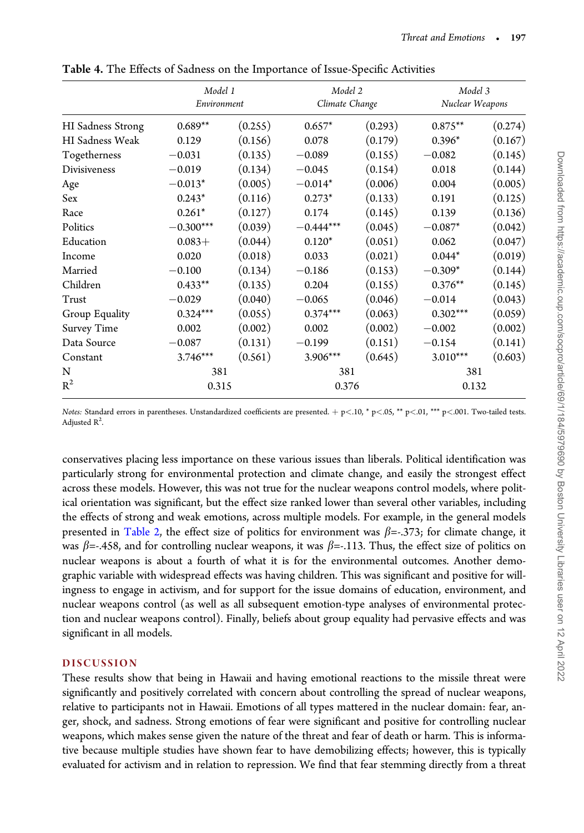|                   | Model 1<br>Environment |         |             | Model 2<br>Climate Change |            | Model 3<br>Nuclear Weapons |  |
|-------------------|------------------------|---------|-------------|---------------------------|------------|----------------------------|--|
| HI Sadness Strong | $0.689**$              | (0.255) | $0.657*$    | (0.293)                   | $0.875**$  | (0.274)                    |  |
| HI Sadness Weak   | 0.129                  | (0.156) | 0.078       | (0.179)                   | $0.396*$   | (0.167)                    |  |
| Togetherness      | $-0.031$               | (0.135) | $-0.089$    | (0.155)                   | $-0.082$   | (0.145)                    |  |
| Divisiveness      | $-0.019$               | (0.134) | $-0.045$    | (0.154)                   | 0.018      | (0.144)                    |  |
| Age               | $-0.013*$              | (0.005) | $-0.014*$   | (0.006)                   | 0.004      | (0.005)                    |  |
| Sex               | $0.243*$               | (0.116) | $0.273*$    | (0.133)                   | 0.191      | (0.125)                    |  |
| Race              | $0.261*$               | (0.127) | 0.174       | (0.145)                   | 0.139      | (0.136)                    |  |
| Politics          | $-0.300***$            | (0.039) | $-0.444***$ | (0.045)                   | $-0.087*$  | (0.042)                    |  |
| Education         | $0.083+$               | (0.044) | $0.120*$    | (0.051)                   | 0.062      | (0.047)                    |  |
| Income            | 0.020                  | (0.018) | 0.033       | (0.021)                   | $0.044*$   | (0.019)                    |  |
| Married           | $-0.100$               | (0.134) | $-0.186$    | (0.153)                   | $-0.309*$  | (0.144)                    |  |
| Children          | $0.433**$              | (0.135) | 0.204       | (0.155)                   | $0.376**$  | (0.145)                    |  |
| Trust             | $-0.029$               | (0.040) | $-0.065$    | (0.046)                   | $-0.014$   | (0.043)                    |  |
| Group Equality    | $0.324***$             | (0.055) | $0.374***$  | (0.063)                   | $0.302***$ | (0.059)                    |  |
| Survey Time       | 0.002                  | (0.002) | 0.002       | (0.002)                   | $-0.002$   | (0.002)                    |  |
| Data Source       | $-0.087$               | (0.131) | $-0.199$    | (0.151)                   | $-0.154$   | (0.141)                    |  |
| Constant          | $3.746***$             | (0.561) | $3.906***$  | (0.645)                   | $3.010***$ | (0.603)                    |  |
| N                 | 381                    |         | 381         |                           | 381        |                            |  |
| $R^2$             | 0.315                  |         | 0.376       |                           | 0.132      |                            |  |

Table 4. The Effects of Sadness on the Importance of Issue-Specific Activities

conservatives placing less importance on these various issues than liberals. Political identification was particularly strong for environmental protection and climate change, and easily the strongest effect across these models. However, this was not true for the nuclear weapons control models, where political orientation was significant, but the effect size ranked lower than several other variables, including the effects of strong and weak emotions, across multiple models. For example, in the general models presented in Table 2, the effect size of politics for environment was  $\beta$ =-.373; for climate change, it was  $\beta$ =-.458, and for controlling nuclear weapons, it was  $\beta$ =-.113. Thus, the effect size of politics on nuclear weapons is about a fourth of what it is for the environmental outcomes. Another demographic variable with widespread effects was having children. This was significant and positive for willingness to engage in activism, and for support for the issue domains of education, environment, and nuclear weapons control (as well as all subsequent emotion-type analyses of environmental protection and nuclear weapons control). Finally, beliefs about group equality had pervasive effects and was significant in all models.

#### DISCUSSION

These results show that being in Hawaii and having emotional reactions to the missile threat were significantly and positively correlated with concern about controlling the spread of nuclear weapons, relative to participants not in Hawaii. Emotions of all types mattered in the nuclear domain: fear, anger, shock, and sadness. Strong emotions of fear were significant and positive for controlling nuclear weapons, which makes sense given the nature of the threat and fear of death or harm. This is informative because multiple studies have shown fear to have demobilizing effects; however, this is typically evaluated for activism and in relation to repression. We find that fear stemming directly from a threat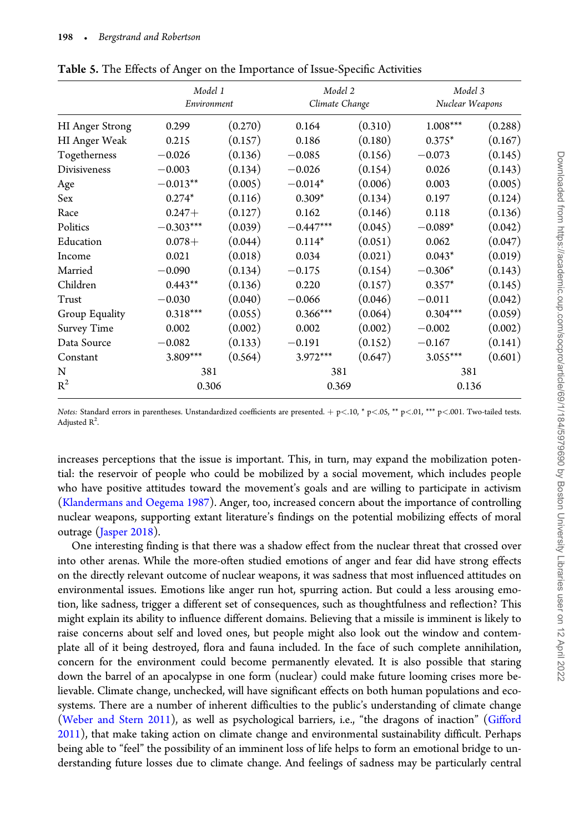|                     | Model 1<br>Environment |         | Model 2<br>Climate Change |         | Model 3<br>Nuclear Weapons |         |
|---------------------|------------------------|---------|---------------------------|---------|----------------------------|---------|
| HI Anger Strong     | 0.299                  | (0.270) | 0.164                     | (0.310) | $1.008^{***}\,$            | (0.288) |
| HI Anger Weak       | 0.215                  | (0.157) | 0.186                     | (0.180) | $0.375*$                   | (0.167) |
| Togetherness        | $-0.026$               | (0.136) | $-0.085$                  | (0.156) | $-0.073$                   | (0.145) |
| <b>Divisiveness</b> | $-0.003$               | (0.134) | $-0.026$                  | (0.154) | 0.026                      | (0.143) |
| Age                 | $-0.013**$             | (0.005) | $-0.014*$                 | (0.006) | 0.003                      | (0.005) |
| Sex                 | $0.274*$               | (0.116) | $0.309*$                  | (0.134) | 0.197                      | (0.124) |
| Race                | $0.247+$               | (0.127) | 0.162                     | (0.146) | 0.118                      | (0.136) |
| Politics            | $-0.303***$            | (0.039) | $-0.447***$               | (0.045) | $-0.089*$                  | (0.042) |
| Education           | $0.078+$               | (0.044) | $0.114*$                  | (0.051) | 0.062                      | (0.047) |
| Income              | 0.021                  | (0.018) | 0.034                     | (0.021) | $0.043*$                   | (0.019) |
| Married             | $-0.090$               | (0.134) | $-0.175$                  | (0.154) | $-0.306*$                  | (0.143) |
| Children            | $0.443**$              | (0.136) | 0.220                     | (0.157) | $0.357*$                   | (0.145) |
| Trust               | $-0.030$               | (0.040) | $-0.066$                  | (0.046) | $-0.011$                   | (0.042) |
| Group Equality      | $0.318***$             | (0.055) | $0.366***$                | (0.064) | $0.304***$                 | (0.059) |
| Survey Time         | 0.002                  | (0.002) | 0.002                     | (0.002) | $-0.002$                   | (0.002) |
| Data Source         | $-0.082$               | (0.133) | $-0.191$                  | (0.152) | $-0.167$                   | (0.141) |
| Constant            | 3.809***               | (0.564) | $3.972***$                | (0.647) | $3.055***$                 | (0.601) |
| N                   | 381                    |         | 381                       |         | 381                        |         |
| $R^2$               | 0.306                  |         | 0.369                     |         | 0.136                      |         |

Table 5. The Effects of Anger on the Importance of Issue-Specific Activities

increases perceptions that the issue is important. This, in turn, may expand the mobilization potential: the reservoir of people who could be mobilized by a social movement, which includes people who have positive attitudes toward the movement's goals and are willing to participate in activism (Klandermans and Oegema 1987). Anger, too, increased concern about the importance of controlling nuclear weapons, supporting extant literature's findings on the potential mobilizing effects of moral outrage (Jasper 2018).

One interesting finding is that there was a shadow effect from the nuclear threat that crossed over into other arenas. While the more-often studied emotions of anger and fear did have strong effects on the directly relevant outcome of nuclear weapons, it was sadness that most influenced attitudes on environmental issues. Emotions like anger run hot, spurring action. But could a less arousing emotion, like sadness, trigger a different set of consequences, such as thoughtfulness and reflection? This might explain its ability to influence different domains. Believing that a missile is imminent is likely to raise concerns about self and loved ones, but people might also look out the window and contemplate all of it being destroyed, flora and fauna included. In the face of such complete annihilation, concern for the environment could become permanently elevated. It is also possible that staring down the barrel of an apocalypse in one form (nuclear) could make future looming crises more believable. Climate change, unchecked, will have significant effects on both human populations and ecosystems. There are a number of inherent difficulties to the public's understanding of climate change (Weber and Stern 2011), as well as psychological barriers, i.e., "the dragons of inaction" (Gifford 2011), that make taking action on climate change and environmental sustainability difficult. Perhaps being able to "feel" the possibility of an imminent loss of life helps to form an emotional bridge to understanding future losses due to climate change. And feelings of sadness may be particularly central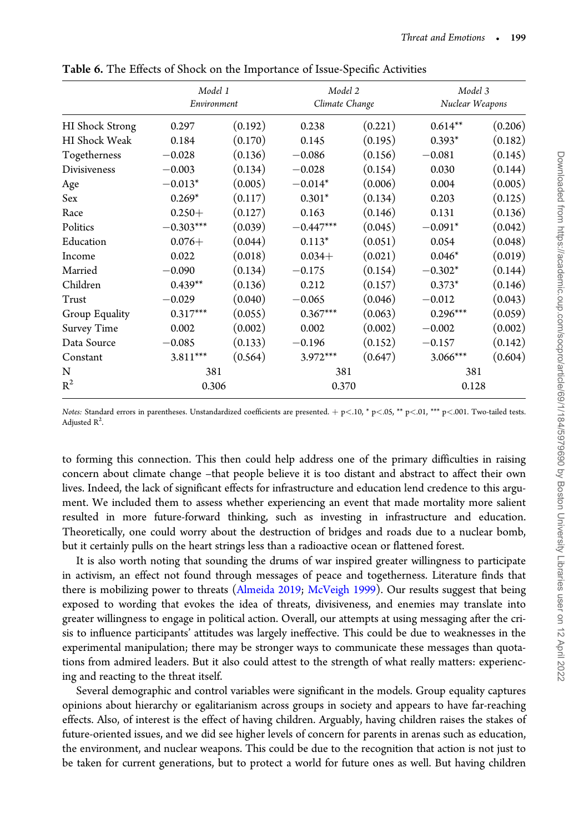|                      | Model 1<br>Environment |         |             | Model 2<br>Climate Change |            | Model 3<br>Nuclear Weapons |  |
|----------------------|------------------------|---------|-------------|---------------------------|------------|----------------------------|--|
| HI Shock Strong      | 0.297                  | (0.192) | 0.238       | (0.221)                   | $0.614**$  | (0.206)                    |  |
| <b>HI</b> Shock Weak | 0.184                  | (0.170) | 0.145       | (0.195)                   | $0.393*$   | (0.182)                    |  |
| Togetherness         | $-0.028$               | (0.136) | $-0.086$    | (0.156)                   | $-0.081$   | (0.145)                    |  |
| <b>Divisiveness</b>  | $-0.003$               | (0.134) | $-0.028$    | (0.154)                   | 0.030      | (0.144)                    |  |
| Age                  | $-0.013*$              | (0.005) | $-0.014*$   | (0.006)                   | 0.004      | (0.005)                    |  |
| Sex                  | $0.269*$               | (0.117) | $0.301*$    | (0.134)                   | 0.203      | (0.125)                    |  |
| Race                 | $0.250+$               | (0.127) | 0.163       | (0.146)                   | 0.131      | (0.136)                    |  |
| Politics             | $-0.303***$            | (0.039) | $-0.447***$ | (0.045)                   | $-0.091*$  | (0.042)                    |  |
| Education            | $0.076+$               | (0.044) | $0.113*$    | (0.051)                   | 0.054      | (0.048)                    |  |
| Income               | 0.022                  | (0.018) | $0.034+$    | (0.021)                   | $0.046*$   | (0.019)                    |  |
| Married              | $-0.090$               | (0.134) | $-0.175$    | (0.154)                   | $-0.302*$  | (0.144)                    |  |
| Children             | $0.439**$              | (0.136) | 0.212       | (0.157)                   | $0.373*$   | (0.146)                    |  |
| Trust                | $-0.029$               | (0.040) | $-0.065$    | (0.046)                   | $-0.012$   | (0.043)                    |  |
| Group Equality       | $0.317***$             | (0.055) | $0.367***$  | (0.063)                   | $0.296***$ | (0.059)                    |  |
| Survey Time          | 0.002                  | (0.002) | 0.002       | (0.002)                   | $-0.002$   | (0.002)                    |  |
| Data Source          | $-0.085$               | (0.133) | $-0.196$    | (0.152)                   | $-0.157$   | (0.142)                    |  |
| Constant             | $3.811***$             | (0.564) | 3.972***    | (0.647)                   | $3.066***$ | (0.604)                    |  |
| N                    | 381                    |         | 381         |                           | 381        |                            |  |
| $R^2$                | 0.306                  |         | 0.370       |                           | 0.128      |                            |  |

Table 6. The Effects of Shock on the Importance of Issue-Specific Activities

to forming this connection. This then could help address one of the primary difficulties in raising concern about climate change –that people believe it is too distant and abstract to affect their own lives. Indeed, the lack of significant effects for infrastructure and education lend credence to this argument. We included them to assess whether experiencing an event that made mortality more salient resulted in more future-forward thinking, such as investing in infrastructure and education. Theoretically, one could worry about the destruction of bridges and roads due to a nuclear bomb, but it certainly pulls on the heart strings less than a radioactive ocean or flattened forest.

It is also worth noting that sounding the drums of war inspired greater willingness to participate in activism, an effect not found through messages of peace and togetherness. Literature finds that there is mobilizing power to threats (Almeida 2019; McVeigh 1999). Our results suggest that being exposed to wording that evokes the idea of threats, divisiveness, and enemies may translate into greater willingness to engage in political action. Overall, our attempts at using messaging after the crisis to influence participants' attitudes was largely ineffective. This could be due to weaknesses in the experimental manipulation; there may be stronger ways to communicate these messages than quotations from admired leaders. But it also could attest to the strength of what really matters: experiencing and reacting to the threat itself.

Several demographic and control variables were significant in the models. Group equality captures opinions about hierarchy or egalitarianism across groups in society and appears to have far-reaching effects. Also, of interest is the effect of having children. Arguably, having children raises the stakes of future-oriented issues, and we did see higher levels of concern for parents in arenas such as education, the environment, and nuclear weapons. This could be due to the recognition that action is not just to be taken for current generations, but to protect a world for future ones as well. But having children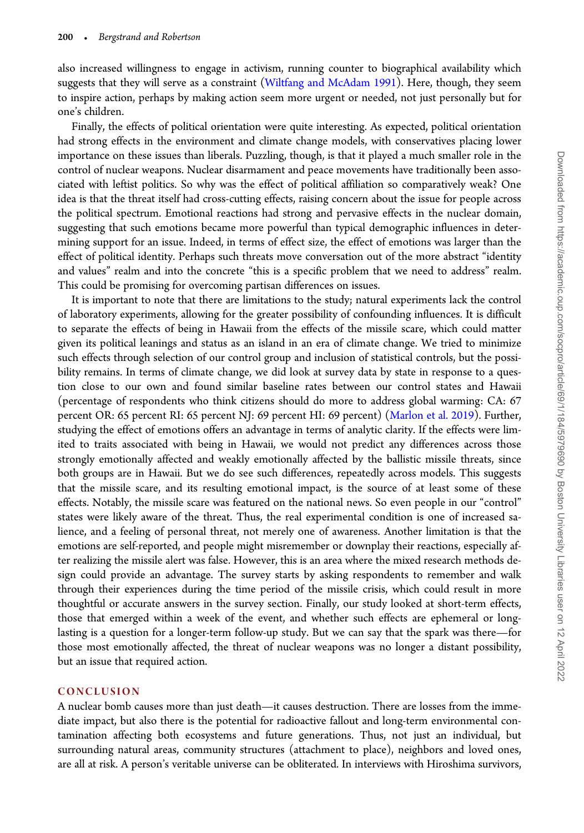also increased willingness to engage in activism, running counter to biographical availability which suggests that they will serve as a constraint (Wiltfang and McAdam 1991). Here, though, they seem to inspire action, perhaps by making action seem more urgent or needed, not just personally but for one's children.

Finally, the effects of political orientation were quite interesting. As expected, political orientation had strong effects in the environment and climate change models, with conservatives placing lower importance on these issues than liberals. Puzzling, though, is that it played a much smaller role in the control of nuclear weapons. Nuclear disarmament and peace movements have traditionally been associated with leftist politics. So why was the effect of political affiliation so comparatively weak? One idea is that the threat itself had cross-cutting effects, raising concern about the issue for people across the political spectrum. Emotional reactions had strong and pervasive effects in the nuclear domain, suggesting that such emotions became more powerful than typical demographic influences in determining support for an issue. Indeed, in terms of effect size, the effect of emotions was larger than the effect of political identity. Perhaps such threats move conversation out of the more abstract "identity and values" realm and into the concrete "this is a specific problem that we need to address" realm. This could be promising for overcoming partisan differences on issues.

It is important to note that there are limitations to the study; natural experiments lack the control of laboratory experiments, allowing for the greater possibility of confounding influences. It is difficult to separate the effects of being in Hawaii from the effects of the missile scare, which could matter given its political leanings and status as an island in an era of climate change. We tried to minimize such effects through selection of our control group and inclusion of statistical controls, but the possibility remains. In terms of climate change, we did look at survey data by state in response to a question close to our own and found similar baseline rates between our control states and Hawaii (percentage of respondents who think citizens should do more to address global warming: CA: 67 percent OR: 65 percent RI: 65 percent NJ: 69 percent HI: 69 percent) (Marlon et al. 2019). Further, studying the effect of emotions offers an advantage in terms of analytic clarity. If the effects were limited to traits associated with being in Hawaii, we would not predict any differences across those strongly emotionally affected and weakly emotionally affected by the ballistic missile threats, since both groups are in Hawaii. But we do see such differences, repeatedly across models. This suggests that the missile scare, and its resulting emotional impact, is the source of at least some of these effects. Notably, the missile scare was featured on the national news. So even people in our "control" states were likely aware of the threat. Thus, the real experimental condition is one of increased salience, and a feeling of personal threat, not merely one of awareness. Another limitation is that the emotions are self-reported, and people might misremember or downplay their reactions, especially after realizing the missile alert was false. However, this is an area where the mixed research methods design could provide an advantage. The survey starts by asking respondents to remember and walk through their experiences during the time period of the missile crisis, which could result in more thoughtful or accurate answers in the survey section. Finally, our study looked at short-term effects, those that emerged within a week of the event, and whether such effects are ephemeral or longlasting is a question for a longer-term follow-up study. But we can say that the spark was there—for those most emotionally affected, the threat of nuclear weapons was no longer a distant possibility, but an issue that required action.

#### **CONCLUSION**

A nuclear bomb causes more than just death—it causes destruction. There are losses from the immediate impact, but also there is the potential for radioactive fallout and long-term environmental contamination affecting both ecosystems and future generations. Thus, not just an individual, but surrounding natural areas, community structures (attachment to place), neighbors and loved ones, are all at risk. A person's veritable universe can be obliterated. In interviews with Hiroshima survivors,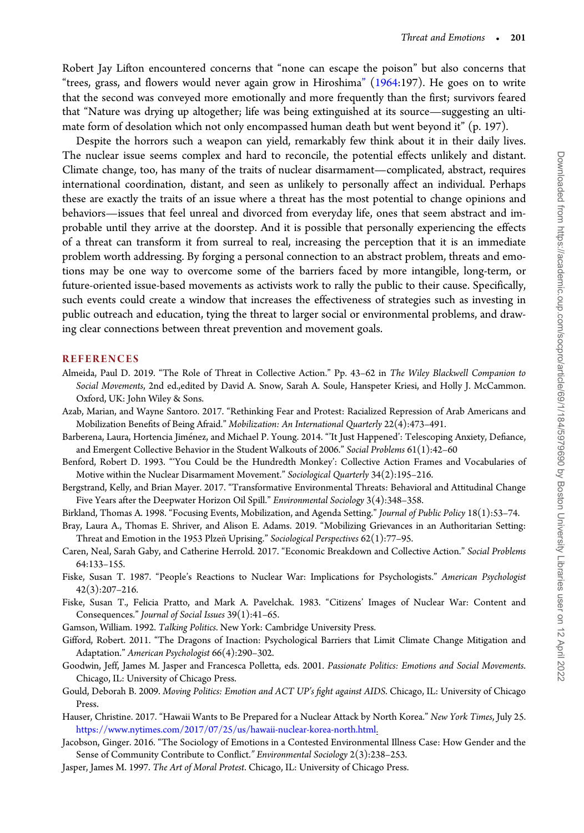Robert Jay Lifton encountered concerns that "none can escape the poison" but also concerns that "trees, grass, and flowers would never again grow in Hiroshima" (1964:197). He goes on to write that the second was conveyed more emotionally and more frequently than the first; survivors feared that "Nature was drying up altogether; life was being extinguished at its source—suggesting an ultimate form of desolation which not only encompassed human death but went beyond it" (p. 197).

Despite the horrors such a weapon can yield, remarkably few think about it in their daily lives. The nuclear issue seems complex and hard to reconcile, the potential effects unlikely and distant. Climate change, too, has many of the traits of nuclear disarmament—complicated, abstract, requires international coordination, distant, and seen as unlikely to personally affect an individual. Perhaps these are exactly the traits of an issue where a threat has the most potential to change opinions and behaviors—issues that feel unreal and divorced from everyday life, ones that seem abstract and improbable until they arrive at the doorstep. And it is possible that personally experiencing the effects of a threat can transform it from surreal to real, increasing the perception that it is an immediate problem worth addressing. By forging a personal connection to an abstract problem, threats and emotions may be one way to overcome some of the barriers faced by more intangible, long-term, or future-oriented issue-based movements as activists work to rally the public to their cause. Specifically, such events could create a window that increases the effectiveness of strategies such as investing in public outreach and education, tying the threat to larger social or environmental problems, and drawing clear connections between threat prevention and movement goals.

#### **REFERENCES**

- Almeida, Paul D. 2019. "The Role of Threat in Collective Action." Pp. 43–62 in The Wiley Blackwell Companion to Social Movements, 2nd ed.,edited by David A. Snow, Sarah A. Soule, Hanspeter Kriesi, and Holly J. McCammon. Oxford, UK: John Wiley & Sons.
- Azab, Marian, and Wayne Santoro. 2017. "Rethinking Fear and Protest: Racialized Repression of Arab Americans and Mobilization Benefits of Being Afraid." Mobilization: An International Quarterly 22(4):473–491.
- Barberena, Laura, Hortencia Jiménez, and Michael P. Young. 2014. "'It Just Happened': Telescoping Anxiety, Defiance, and Emergent Collective Behavior in the Student Walkouts of 2006." Social Problems 61(1):42–60
- Benford, Robert D. 1993. "'You Could be the Hundredth Monkey': Collective Action Frames and Vocabularies of Motive within the Nuclear Disarmament Movement." Sociological Quarterly 34(2):195–216.
- Bergstrand, Kelly, and Brian Mayer. 2017. "Transformative Environmental Threats: Behavioral and Attitudinal Change Five Years after the Deepwater Horizon Oil Spill." Environmental Sociology 3(4):348–358.
- Birkland, Thomas A. 1998. "Focusing Events, Mobilization, and Agenda Setting." Journal of Public Policy 18(1):53–74.
- Bray, Laura A., Thomas E. Shriver, and Alison E. Adams. 2019. "Mobilizing Grievances in an Authoritarian Setting: Threat and Emotion in the 1953 Plzeň Uprising." Sociological Perspectives  $62(1)$ :77-95.
- Caren, Neal, Sarah Gaby, and Catherine Herrold. 2017. "Economic Breakdown and Collective Action." Social Problems 64:133–155.
- Fiske, Susan T. 1987. "People's Reactions to Nuclear War: Implications for Psychologists." American Psychologist 42(3):207–216.
- Fiske, Susan T., Felicia Pratto, and Mark A. Pavelchak. 1983. "Citizens' Images of Nuclear War: Content and Consequences." Journal of Social Issues 39(1):41–65.
- Gamson, William. 1992. Talking Politics. New York: Cambridge University Press.
- Gifford, Robert. 2011. "The Dragons of Inaction: Psychological Barriers that Limit Climate Change Mitigation and Adaptation." American Psychologist 66(4):290–302.
- Goodwin, Jeff, James M. Jasper and Francesca Polletta, eds. 2001. Passionate Politics: Emotions and Social Movements. Chicago, IL: University of Chicago Press.
- Gould, Deborah B. 2009. Moving Politics: Emotion and ACT UP's fight against AIDS. Chicago, IL: University of Chicago Press.
- Hauser, Christine. 2017. "Hawaii Wants to Be Prepared for a Nuclear Attack by North Korea." New York Times, July 25. https://www.nytimes.com/2017/07/25/us/hawaii-nuclear-korea-north.html.
- Jacobson, Ginger. 2016. "The Sociology of Emotions in a Contested Environmental Illness Case: How Gender and the Sense of Community Contribute to Conflict." Environmental Sociology 2(3):238–253.
- Jasper, James M. 1997. The Art of Moral Protest. Chicago, IL: University of Chicago Press.